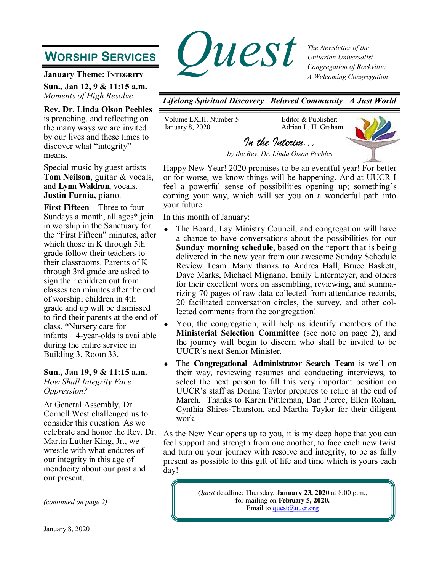# **WORSHIP SERVICES**

**January Theme: INTEGRITY** 

**Sun., Jan 12, 9 & 11:15 a.m.** *Moments of High Resolve*

**Rev. Dr. Linda Olson Peebles**  is preaching, and reflecting on the many ways we are invited by our lives and these times to discover what "integrity" means.

Special music by guest artists **Tom Neilson**, guitar & vocals, and **Lynn Waldron**, vocals. **Justin Furnia,** piano.

**First Fifteen**—Three to four Sundays a month, all ages\* join in worship in the Sanctuary for the "First Fifteen" minutes, after which those in K through 5th grade follow their teachers to their classrooms. Parents of K through 3rd grade are asked to sign their children out from classes ten minutes after the end of worship; children in 4th grade and up will be dismissed to find their parents at the end of class. \*Nursery care for infants—4-year-olds is available during the entire service in Building 3, Room 33.

### **Sun., Jan 19, 9 & 11:15 a.m.**

*How Shall Integrity Face Oppression?*

At General Assembly, Dr. Cornell West challenged us to consider this question. As we celebrate and honor the Rev. Dr. Martin Luther King, Jr., we wrestle with what endures of our integrity in this age of mendacity about our past and our present.

*(continued on page 2)*



*The Newsletter of the Unitarian Universalist Congregation of Rockville: A Welcoming Congregation*

*Lifelong Spiritual Discovery Beloved Community A Just World*

Volume LXIII, Number 5 January 8, 2020

Editor & Publisher: Adrian L. H. Graham



*by the Rev. Dr. Linda Olson Peebles* 

*In the Interim...* 

Happy New Year! 2020 promises to be an eventful year! For better or for worse, we know things will be happening. And at UUCR I feel a powerful sense of possibilities opening up; something's coming your way, which will set you on a wonderful path into your future.

In this month of January:

- The Board, Lay Ministry Council, and congregation will have a chance to have conversations about the possibilities for our **Sunday morning schedule**, based on the report that is being delivered in the new year from our awesome Sunday Schedule Review Team. Many thanks to Andrea Hall, Bruce Baskett, Dave Marks, Michael Mignano, Emily Untermeyer, and others for their excellent work on assembling, reviewing, and summarizing 70 pages of raw data collected from attendance records, 20 facilitated conversation circles, the survey, and other collected comments from the congregation!
- You, the congregation, will help us identify members of the **Ministerial Selection Committee** (see note on page 2), and the journey will begin to discern who shall be invited to be UUCR's next Senior Minister.
- The **Congregational Administrator Search Team** is well on their way, reviewing resumes and conducting interviews, to select the next person to fill this very important position on UUCR's staff as Donna Taylor prepares to retire at the end of March. Thanks to Karen Pittleman, Dan Pierce, Ellen Rohan, Cynthia Shires-Thurston, and Martha Taylor for their diligent work.

As the New Year opens up to you, it is my deep hope that you can feel support and strength from one another, to face each new twist and turn on your journey with resolve and integrity, to be as fully present as possible to this gift of life and time which is yours each day!

> *Quest* deadline: Thursday, **January 23, 2020** at 8:00 p.m., for mailing on **February 5, 2020.** Email to  $\frac{\text{quest}(a) \text{uucr.org}}{\text{quest}(a) \text{uucr.org}}$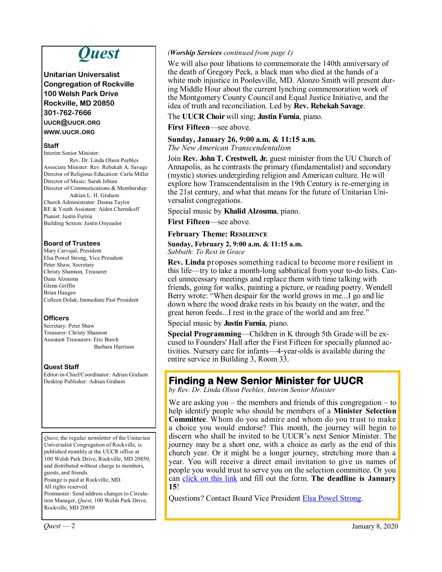# *Quest*

**Unitarian Universalist Congregation of Rockville 100 Welsh Park Drive Rockville, MD 20850 301-762-7666 UUCR@UUCR.ORG WWW.UUCR.ORG**

#### **Staff**

Interim Senior Minister: Rev. Dr. Linda Olson Peebles Associate Minister: Rev. Rebekah A. Savage Director of Religious Education: Carla Miller Director of Music: Sarah Jebian Director of Communications & Membership: Adrian L. H. Graham Church Administrator: Donna Taylor RE & Youth Assistant: Aiden Chernikoff Pianist: Justin Furnia Building Sexton: Justin Onyeador

#### **Board of Trustees**

Mary Carvajal, President Elsa Powel Strong, Vice President Peter Shaw, Secretary Christy Shannon, Treasurer Dana Alzouma Glenn Griffin Brian Haugen Colleen Dolak, Immediate Past President

### **Officers**

Secretary: Peter Shaw Treasurer: Christy Shannon Assistant Treasurers: Eric Burch Barbara Harrison

### **Quest Staff**

Editor-in-Chief/Coordinator: Adrian Graham Desktop Publisher: Adrian Graham

*Quest*, the regular newsletter of the Unitarian Universalist Congregation of Rockville, is published monthly at the UUCR office at 100 Welsh Park Drive, Rockville, MD 20850, and distributed without charge to members, guests, and friends. Postage is paid at Rockville, MD.

All rights reserved.

Postmaster: Send address changes to Circulation Manager, *Quest*, 100 Welsh Park Drive, Rockville, MD 20850

#### *(Worship Services continued from page 1)*

We will also pour libations to commemorate the 140th anniversary of the death of Gregory Peck, a black man who died at the hands of a white mob injustice in Poolesville, MD. Alonzo Smith will present during Middle Hour about the current lynching commemoration work of the Montgomery County Council and Equal Justice Initiative, and the idea of truth and reconciliation. Led by **Rev. Rebekah Savage**.

The **UUCR Choir** will sing; **Justin Furnia**, piano.

**First Fifteen**—see above.

### **Sunday, January 26, 9:00 a.m. & 11:15 a.m.**

*The New American Transcendentalism*

Join **Rev. John T. Crestwell, Jr.** guest minister from the UU Church of Annapolis, as he contrasts the primary (fundamentalist) and secondary (mystic) stories undergirding religion and American culture. He will explore how Transcendentalism in the 19th Century is re-emerging in the 21st century, and what that means for the future of Unitarian Universalist congregations.

Special music by **Khalid Alzouma**, piano.

**First Fifteen**—see above.

**February Theme: Resilience**

**Sunday, February 2, 9:00 a.m. & 11:15 a.m.** *Sabbath: To Rest in Grace*

**Rev. Linda** proposes something radical to become more resilient in this life—try to take a month-long sabbatical from your to-do lists. Cancel unnecessary meetings and replace them with time talking with friends, going for walks, painting a picture, or reading poetry. Wendell Berry wrote: "When despair for the world grows in me...I go and lie down where the wood drake rests in his beauty on the water, and the great heron feeds...I rest in the grace of the world and am free."

Special music by **Justin Furnia**, piano.

**Special Programming**—Children in K through 5th Grade will be excused to Founders' Hall after the First Fifteen for specially planned activities. Nursery care for infants—4-year-olds is available during the entire service in Building 3, Room 33.

## **Finding a New Senior Minister for UUCR**

*by Rev. Dr. Linda Olson Peebles, Interim Senior Minister*

We are asking you – the members and friends of this congregation – to help identify people who should be members of a **Minister Selection Committee**. Whom do you admire and whom do you trust to make a choice you would endorse? This month, the journey will begin to discern who shall be invited to be UUCR's next Senior Minister. The journey may be a short one, with a choice as early as the end of this church year. Or it might be a longer journey, stretching more than a year. You will receive a direct email invitation to give us names of people you would trust to serve you on the selection committee. Or you can [click on this link](https://www.surveymonkey.com/r/M25SHLV) and fill out the form. **The deadline is January 15**!

Questions? Contact Board Vice President [Elsa Powel Strong.](mailto:president20-21@uucr.org?subject=re:%20Finding%20a%20New%20Senior%20Minister%20for%20UUCR)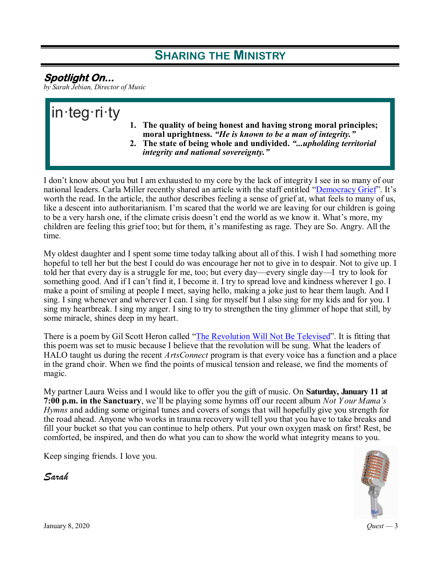# **SHARING THE MINISTRY**

# **Spotlight On...**

*by Sarah Jebian, Director of Music*

# in·teg·ri·ty **1. The quality of being honest and having strong moral principles; moral uprightness.** *"He is known to be a man of integrity."* **2. The state of being whole and undivided.** *"...upholding territorial integrity and national sovereignty."*

I don't know about you but I am exhausted to my core by the lack of integrity I see in so many of our national leaders. Carla Miller recently shared an article with the staff entitled "[Democracy Grief".](https://www.nytimes.com/2019/12/13/opinion/sunday/trump-democracy.html) It's worth the read. In the article, the author describes feeling a sense of grief at, what feels to many of us, like a descent into authoritarianism. I'm scared that the world we are leaving for our children is going to be a very harsh one, if the climate crisis doesn't end the world as we know it. What's more, my children are feeling this grief too; but for them, it's manifesting as rage. They are So. Angry. All the time.

My oldest daughter and I spent some time today talking about all of this. I wish I had something more hopeful to tell her but the best I could do was encourage her not to give in to despair. Not to give up. I told her that every day is a struggle for me, too; but every day—every single day—I try to look for something good. And if I can't find it, I become it. I try to spread love and kindness wherever I go. I make a point of smiling at people I meet, saying hello, making a joke just to hear them laugh. And I sing. I sing whenever and wherever I can. I sing for myself but I also sing for my kids and for you. I sing my heartbreak. I sing my anger. I sing to try to strengthen the tiny glimmer of hope that still, by some miracle, shines deep in my heart.

There is a poem by Gil Scott Heron called ["The Revolution Will Not Be Televised".](https://www.youtube.com/watch?v=qGaoXAwl9kw) It is fitting that this poem was set to music because I believe that the revolution will be sung. What the leaders of HALO taught us during the recent *ArtsConnect* program is that every voice has a function and a place in the grand choir. When we find the points of musical tension and release, we find the moments of magic.

My partner Laura Weiss and I would like to offer you the gift of music. On **Saturday, January 11 at 7:00 p.m. in the Sanctuary**, we'll be playing some hymns off our recent album *Not Y our Mama's Hymns* and adding some original tunes and covers of songs that will hopefully give you strength for the road ahead. Anyone who works in trauma recovery will tell you that you have to take breaks and fill your bucket so that you can continue to help others. Put your own oxygen mask on first! Rest, be comforted, be inspired, and then do what you can to show the world what integrity means to you.

Keep singing friends. I love you.

*Sarah*



January 8, 2020 *Quest* — 3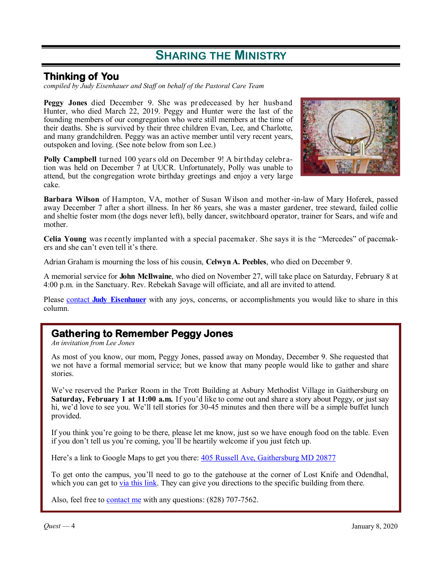# **SHARING THE MINISTRY**

## **Thinking of You**

*compiled by Judy Eisenhauer and Staff on behalf of the Pastoral Care Team*

**Peggy Jones** died December 9. She was predeceased by her husband Hunter, who died March 22, 2019. Peggy and Hunter were the last of the founding members of our congregation who were still members at the time of their deaths. She is survived by their three children Evan, Lee, and Charlotte, and many grandchildren. Peggy was an active member until very recent years, outspoken and loving. (See note below from son Lee.)

**Polly Campbell** turned 100 years old on December 9! A birthday celebration was held on December 7 at UUCR. Unfortunately, Polly was unable to attend, but the congregation wrote birthday greetings and enjoy a very large cake.



**Barbara Wilson** of Hampton, VA, mother of Susan Wilson and mother -in-law of Mary Hoferek, passed away December 7 after a short illness. In her 86 years, she was a master gardener, tree steward, failed collie and sheltie foster mom (the dogs never left), belly dancer, switchboard operator, trainer for Sears, and wife and mother.

**Celia Young** was recently implanted with a special pacemaker. She says it is the "Mercedes" of pacemakers and she can't even tell it's there.

Adrian Graham is mourning the loss of his cousin, **Celwyn A. Peebles**, who died on December 9.

A memorial service for **John McIlwaine**, who died on November 27, will take place on Saturday, February 8 at 4:00 p.m. in the Sanctuary. Rev. Rebekah Savage will officiate, and all are invited to attend.

Please contact **[Judy Eisenhauer](https://onrealm.org/uucr)** with any joys, concerns, or accomplishments you would like to share in this column.

## **Gathering to Remember Peggy Jones**

*An invitation from Lee Jones*

As most of you know, our mom, Peggy Jones, passed away on Monday, December 9. She requested that we not have a formal memorial service; but we know that many people would like to gather and share stories.

We've reserved the Parker Room in the Trott Building at Asbury Methodist Village in Gaithersburg on **Saturday, February 1 at 11:00 a.m.** If you'd like to come out and share a story about Peggy, or just say hi, we'd love to see you. We'll tell stories for 30-45 minutes and then there will be a simple buffet lunch provided.

If you think you're going to be there, please let me know, just so we have enough food on the table. Even if you don't tell us you're coming, you'll be heartily welcome if you just fetch up.

Here's a link to Google Maps to get you there: [405 Russell Ave, Gaithersburg MD 20877](https://www.google.com/maps/place/405+Russell+Ave,+Gaithersburg,+MD+20877/@39.1499088,-77.2026924,17z/data=!3m1!4b1!4m5!3m4!1s0x89b62d29ec6b4c03:0x3e07ea125935fee6!8m2!3d39.1499088!4d-77.2005037)

To get onto the campus, you'll need to go to the gatehouse at the corner of Lost Knife and Odendhal, which you can get to <u>via this link</u>. They can give you directions to the specific building from there.

Also, feel free to **[contact me](mailto:jonesleeh@gmail.com?subject=re:%20Gathering%20to%20Remember%20Peggy%20Jones)** with any questions: (828) 707-7562.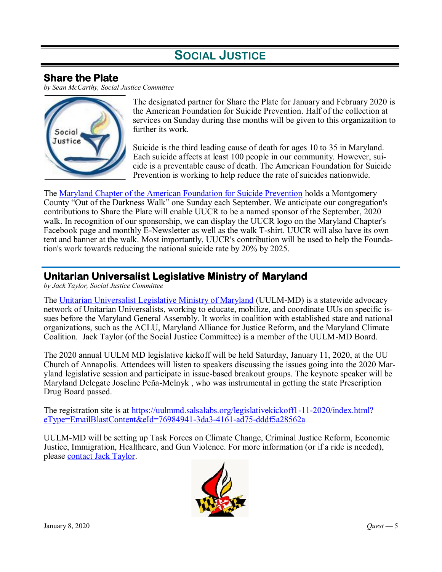# **SOCIAL JUSTICE**

# **Share the Plate**

*by Sean McCarthy, Social Justice Committee*



The designated partner for Share the Plate for January and February 2020 is the American Foundation for Suicide Prevention. Half of the collection at services on Sunday during thse months will be given to this organizaition to further its work.

Suicide is the third leading cause of death for ages 10 to 35 in Maryland. Each suicide affects at least 100 people in our community. However, suicide is a preventable cause of death. The American Foundation for Suicide Prevention is working to help reduce the rate of suicides nationwide.

The [Maryland Chapter of the American Foundation for Suicide Prevention](https://afsp.org/chapter/afsp-maryland/) holds a Montgomery County "Out of the Darkness Walk" one Sunday each September. We anticipate our congregation's contributions to Share the Plate will enable UUCR to be a named sponsor of the September, 2020 walk. In recognition of our sponsorship, we can display the UUCR logo on the Maryland Chapter's Facebook page and monthly E-Newsletter as well as the walk T-shirt. UUCR will also have its own tent and banner at the walk. Most importantly, UUCR's contribution will be used to help the Foundation's work towards reducing the national suicide rate by 20% by 2025.

## **Unitarian Universalist Legislative Ministry of Maryland**

*by Jack Taylor, Social Justice Committee*

The [Unitarian Universalist Legislative Ministry of Maryland](https://www.uulmmd.org/) (UULM-MD) is a statewide advocacy network of Unitarian Universalists, working to educate, mobilize, and coordinate UUs on specific issues before the Maryland General Assembly. It works in coalition with established state and national organizations, such as the ACLU, Maryland Alliance for Justice Reform, and the Maryland Climate Coalition. Jack Taylor (of the Social Justice Committee) is a member of the UULM-MD Board.

The 2020 annual UULM MD legislative kickoff will be held Saturday, January 11, 2020, at the UU Church of Annapolis. Attendees will listen to speakers discussing the issues going into the 2020 Maryland legislative session and participate in issue-based breakout groups. The keynote speaker will be Maryland Delegate Joseline Peña-Melnyk , who was instrumental in getting the state Prescription Drug Board passed.

The registration site is at [https://uulmmd.salsalabs.org/legislativekickoff1-11-2020/index.html?](https://uulmmd.salsalabs.org/legislativekickoff1-11-2020/index.html?eType=EmailBlastContent&eId=76984941-3da3-4161-ad75-dddf5a28562a) [eType=EmailBlastContent&eId=76984941-3da3-4161-ad75-dddf5a28562a](https://uulmmd.salsalabs.org/legislativekickoff1-11-2020/index.html?eType=EmailBlastContent&eId=76984941-3da3-4161-ad75-dddf5a28562a)

UULM-MD will be setting up Task Forces on Climate Change, Criminal Justice Reform, Economic Justice, Immigration, Healthcare, and Gun Violence. For more information (or if a ride is needed), please [contact Jack Taylor.](https://onrealm.org/uucr)